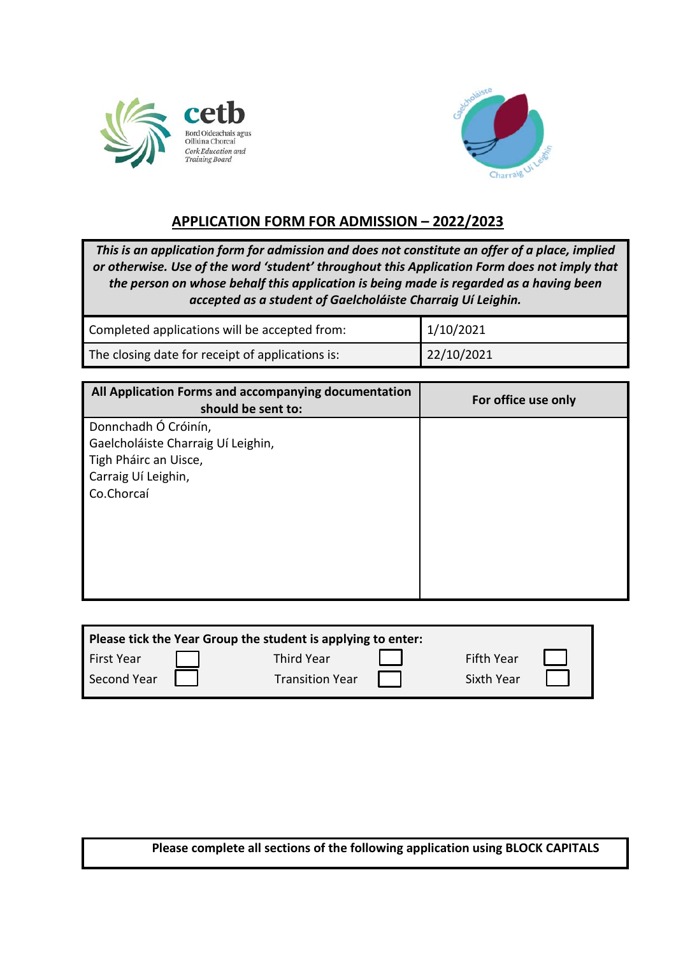



# **APPLICATION FORM FOR ADMISSION – 2022/2023**

*This is an application form for admission and does not constitute an offer of a place, implied or otherwise. Use of the word 'student' throughout this Application Form does not imply that the person on whose behalf this application is being made is regarded as a having been accepted as a student of Gaelcholáiste Charraig Uí Leighin.*

| Completed applications will be accepted from:    | 1/10/2021   |
|--------------------------------------------------|-------------|
| The closing date for receipt of applications is: | 122/10/2021 |

| All Application Forms and accompanying documentation<br>should be sent to: | For office use only |
|----------------------------------------------------------------------------|---------------------|
| Donnchadh Ó Cróinín,                                                       |                     |
| Gaelcholáiste Charraig Uí Leighin,                                         |                     |
| Tigh Pháirc an Uisce,                                                      |                     |
| Carraig Uí Leighin,                                                        |                     |
| Co.Chorcaí                                                                 |                     |
|                                                                            |                     |
|                                                                            |                     |
|                                                                            |                     |
|                                                                            |                     |
|                                                                            |                     |
|                                                                            |                     |

| Please tick the Year Group the student is applying to enter: |                        |            |  |  |
|--------------------------------------------------------------|------------------------|------------|--|--|
| First Year                                                   | Third Year             | Fifth Year |  |  |
| Second Year                                                  | <b>Transition Year</b> | Sixth Year |  |  |

**Please complete all sections of the following application using BLOCK CAPITALS**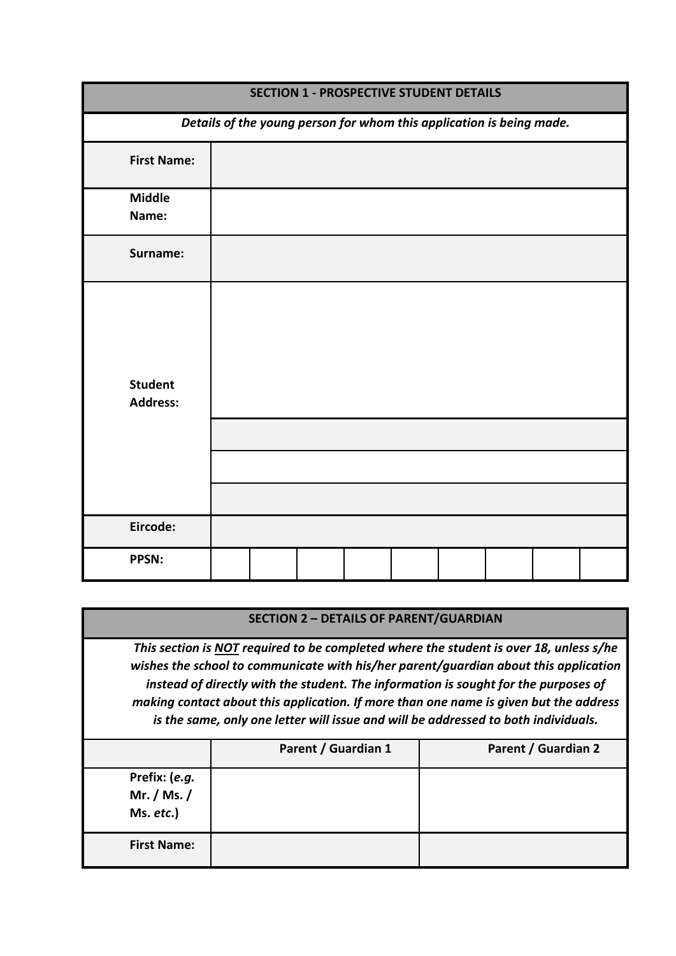| <b>SECTION 1 - PROSPECTIVE STUDENT DETAILS</b> |                                                                      |  |  |  |  |  |
|------------------------------------------------|----------------------------------------------------------------------|--|--|--|--|--|
|                                                | Details of the young person for whom this application is being made. |  |  |  |  |  |
| <b>First Name:</b>                             |                                                                      |  |  |  |  |  |
| <b>Middle</b>                                  |                                                                      |  |  |  |  |  |
| Name:                                          |                                                                      |  |  |  |  |  |
| Surname:                                       |                                                                      |  |  |  |  |  |
| <b>Student</b><br><b>Address:</b>              |                                                                      |  |  |  |  |  |
| Eircode:                                       |                                                                      |  |  |  |  |  |
| PPSN:                                          |                                                                      |  |  |  |  |  |

### **SECTION 2 – DETAILS OF PARENT/GUARDIAN**

*This section is NOT required to be completed where the student is over 18, unless s/he wishes the school to communicate with his/her parent/guardian about this application instead of directly with the student. The information is sought for the purposes of making contact about this application. If more than one name is given but the address is the same, only one letter will issue and will be addressed to both individuals.*

|                                                           | Parent / Guardian 1 | <b>Parent / Guardian 2</b> |
|-----------------------------------------------------------|---------------------|----------------------------|
| Prefix: ( <i>e.g.</i><br>Mr. / Ms. /<br>Ms. <i>etc</i> .) |                     |                            |
| <b>First Name:</b>                                        |                     |                            |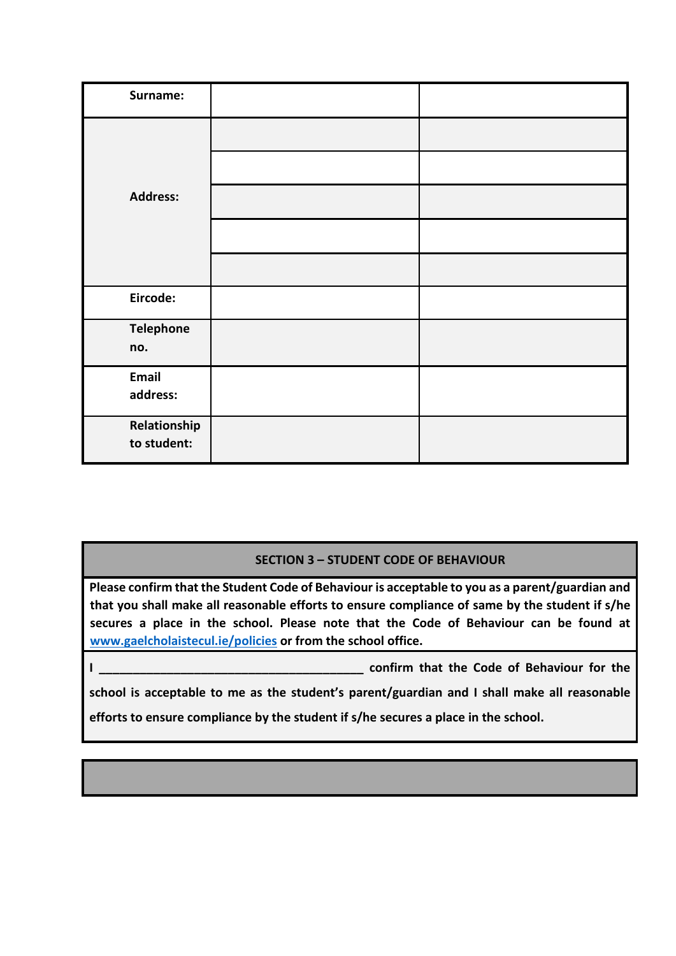| Surname:                    |  |
|-----------------------------|--|
|                             |  |
|                             |  |
| <b>Address:</b>             |  |
|                             |  |
|                             |  |
| Eircode:                    |  |
| <b>Telephone</b><br>no.     |  |
| Email<br>address:           |  |
| Relationship<br>to student: |  |

## **SECTION 3 – STUDENT CODE OF BEHAVIOUR**

**Please confirm that the Student Code of Behaviour is acceptable to you as a parent/guardian and that you shall make all reasonable efforts to ensure compliance of same by the student if s/he secures a place in the school. Please note that the Code of Behaviour can be found at [www.gaelcholaistecul.ie/policies](http://www.gaelcholaistecul.ie/policies) or from the school office.**

**I \_\_\_\_\_\_\_\_\_\_\_\_\_\_\_\_\_\_\_\_\_\_\_\_\_\_\_\_\_\_\_\_\_\_\_\_\_\_\_ confirm that the Code of Behaviour for the** 

**school is acceptable to me as the student's parent/guardian and I shall make all reasonable** 

**efforts to ensure compliance by the student if s/he secures a place in the school.**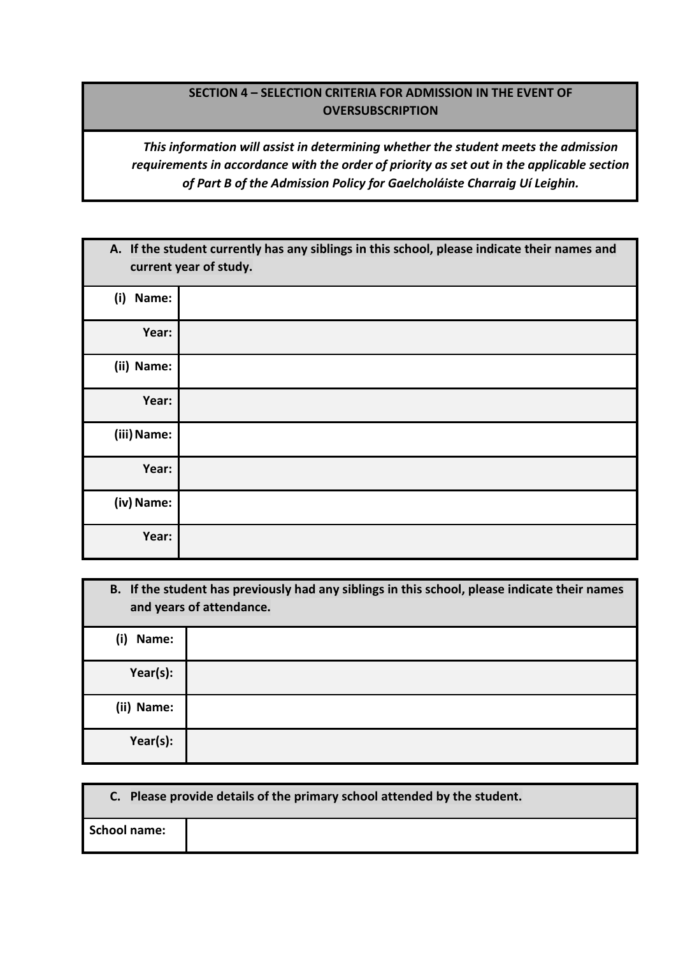## **SECTION 4 – SELECTION CRITERIA FOR ADMISSION IN THE EVENT OF OVERSUBSCRIPTION**

*This information will assist in determining whether the student meets the admission requirements in accordance with the order of priority as set out in the applicable section of Part B of the Admission Policy for Gaelcholáiste Charraig Uí Leighin.*

|              | A. If the student currently has any siblings in this school, please indicate their names and<br>current year of study. |
|--------------|------------------------------------------------------------------------------------------------------------------------|
| (i)<br>Name: |                                                                                                                        |
| Year:        |                                                                                                                        |
| (ii) Name:   |                                                                                                                        |
| Year:        |                                                                                                                        |
| (iii) Name:  |                                                                                                                        |
| Year:        |                                                                                                                        |
| (iv) Name:   |                                                                                                                        |
| Year:        |                                                                                                                        |

|               | B. If the student has previously had any siblings in this school, please indicate their names<br>and years of attendance. |
|---------------|---------------------------------------------------------------------------------------------------------------------------|
| Name:<br>(i)  |                                                                                                                           |
| Year(s):      |                                                                                                                           |
| (ii)<br>Name: |                                                                                                                           |
| Year(s):      |                                                                                                                           |

|                     | C. Please provide details of the primary school attended by the student. |
|---------------------|--------------------------------------------------------------------------|
| <b>School name:</b> |                                                                          |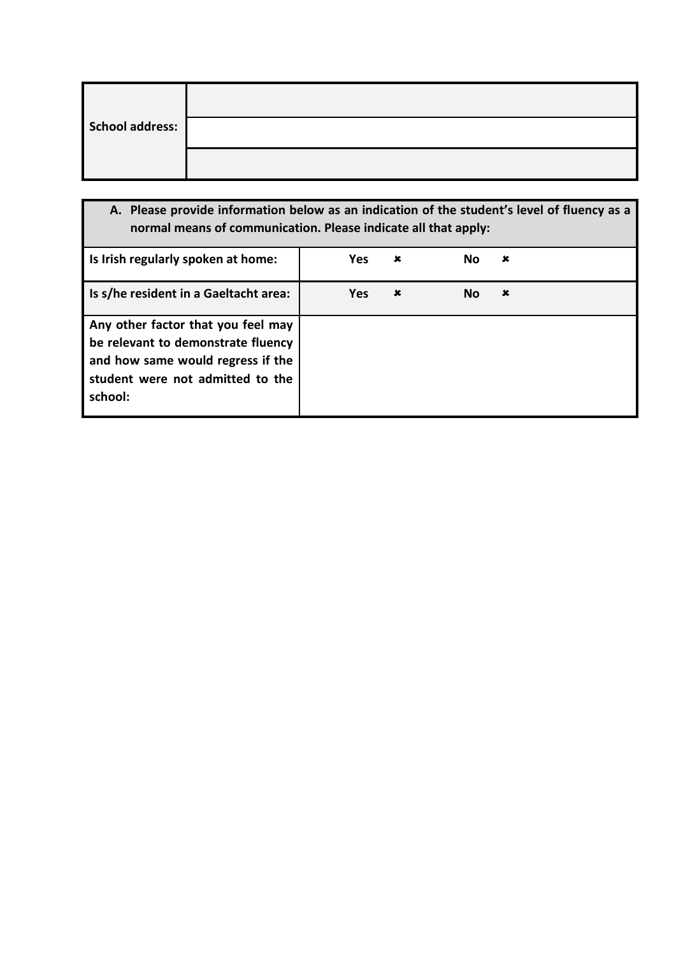| <b>School address:</b> |  |
|------------------------|--|
|                        |  |

**A. Please provide information below as an indication of the student's level of fluency as a normal means of communication. Please indicate all that apply:** 

| Is Irish regularly spoken at home:                                                                                                                           | <b>Yes</b> | × | No. | <b>x</b>       |
|--------------------------------------------------------------------------------------------------------------------------------------------------------------|------------|---|-----|----------------|
| Is s/he resident in a Gaeltacht area:                                                                                                                        | <b>Yes</b> | x | Νo  | $\pmb{\times}$ |
| Any other factor that you feel may<br>be relevant to demonstrate fluency<br>and how same would regress if the<br>student were not admitted to the<br>school: |            |   |     |                |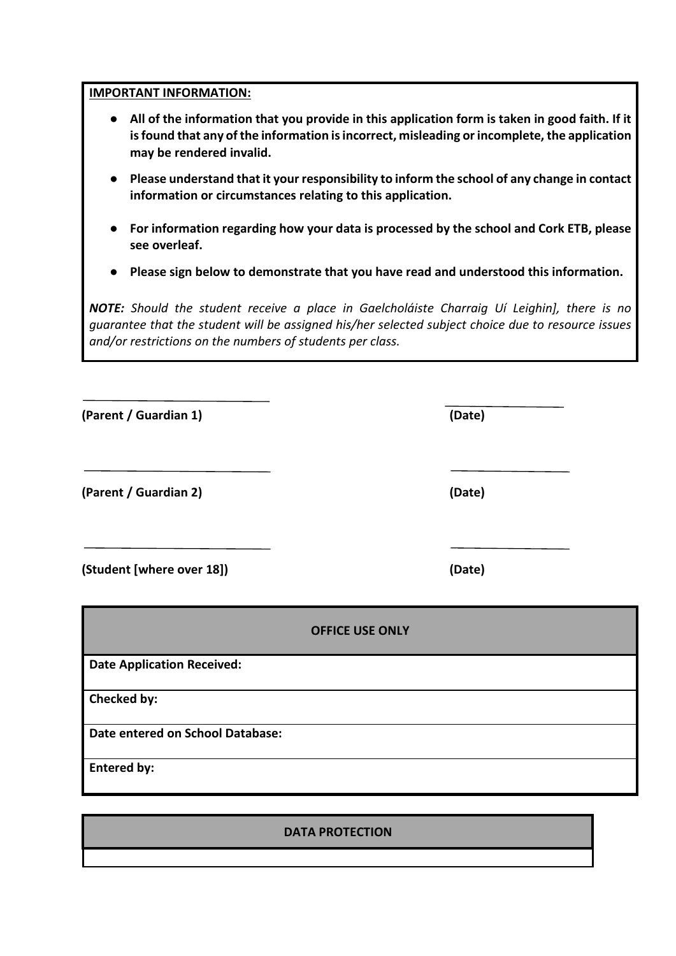#### **IMPORTANT INFORMATION:**

- All of the information that you provide in this application form is taken in good faith. If it **is found that any of the information is incorrect, misleading or incomplete, the application may be rendered invalid.**
- **Please understand that it your responsibility to inform the school of any change in contact information or circumstances relating to this application.**
- **For information regarding how your data is processed by the school and Cork ETB, please see overleaf.**
- **Please sign below to demonstrate that you have read and understood this information.**

*NOTE: Should the student receive a place in Gaelcholáiste Charraig Uí Leighin], there is no guarantee that the student will be assigned his/her selected subject choice due to resource issues and/or restrictions on the numbers of students per class.*

| (Date)                 |  |
|------------------------|--|
| (Date)                 |  |
| (Date)                 |  |
| <b>OFFICE USE ONLY</b> |  |
|                        |  |
|                        |  |
|                        |  |
|                        |  |
|                        |  |

**DATA PROTECTION**